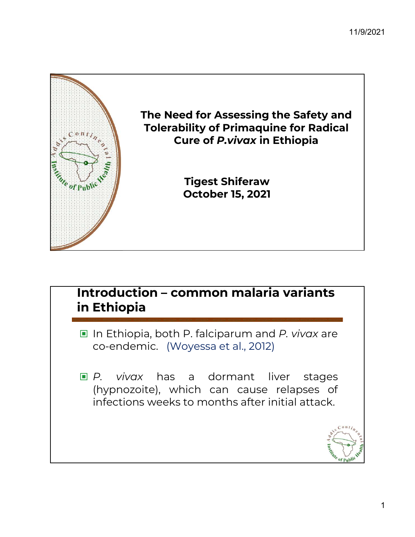

# **Introduction – common malaria variants<br>In Ethiopia<br>In Ethiopia, both P. falciparum and** *P. vivax* **are<br>co-endemic. (Woyessa et al., 2012)** croduction – common malaria variants<br>Ethiopia<br>In Ethiopia, both P. falciparum and *P. vivox* are<br>co-endemic. (Woyessa et al., 2012) Introduction – common malaria variants in Ethiopia

- 
- **In Ethiopia**<br> **Example:** In Ethiopia, both P. falciparum and *P. vivax* are<br>
co-endemic. (Woyessa et al., 2012)<br> **E.** *P. vivax* has a dormant liver stages<br>
(hypnozoite), which can cause relapses of<br>
infections weeks to m **Ethiopia, both P. falciparum and** *P. vivax* **are**<br>co-endemic. (Woyessa et al., 2012)<br>*P. vivax* has a dormant liver stages<br>(hypnozoite), which can cause relapses of<br>infections weeks to months after initial attack. In Ethiopia, both P. falciparum and *P. vivax* are<br>co-endemic. (Woyessa et al., 2012)<br>P. vivax has a dormant liver stages<br>(hypnozoite), which can cause relapses of<br>infections weeks to months after initial attack.

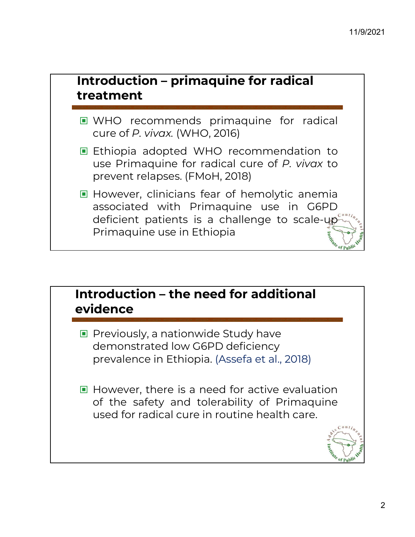# **Introduction – primaquine for radical<br>treatment<br>■ WHO recommends primaquine for radical<br>cure of** *P. vivax***. (WHO, 2016) Troduction – primaquine for radical<br>Patment<br>WHO recommends primaquine for radicure of P. vivax. (WHO, 2016)<br>Ethiopia adopted WHO recommendation** Introduction – primaquine for radical treatment

- 
- **Introduction primaquine for radical<br>
Lethandre WHO recommends primaquine for radical<br>
Ethiopia adopted WHO recommendation to<br>
Lethiopia adopted WHO recommendation to<br>
Lethiopia adopted WHO recommendation to<br>
Lethiopia a Example 10 Factors**<br> **Example 10 Factor**<br>
WHO recommends primaquine for radical<br>
cure of *P. vivax* (WHO, 2016)<br>
Ethiopia adopted WHO recommendation to<br>
use Primaquine for radical cure of *P. vivax* to<br>
prevent relapses. **Patment**<br>
WHO recommends primaquine for radica<br>
cure of *P. vivax.* (WHO, 2016)<br>
Ethiopia adopted WHO recommendation to<br>
use Primaquine for radical cure of *P. vivax* to<br>
prevent relapses. (FMoH, 2018)<br>
However, clinician ■ WHO recommends primaquine for radical<br>
cure of *P. vivax.* (WHO, 2016)<br>
■ Ethiopia adopted WHO recommendation to<br>
use Primaquine for radical cure of *P. vivax* to<br>
prevent relapses. (FMoH, 2018)<br>
■ However, clinicians f
- cure of *P. vivax.* (WHO, 2016)<br>
Ethiopia adopted WHO recommendation to<br>
use Primaquine for radical cure of *P. vivax* to<br>
prevent relapses. (FMoH, 2018)<br>
However, clinicians fear of hemolytic anemia<br>
associated with Prima Ethiopia adopted WHO recommendation to<br>use Primaquine for radical cure of *P. vivax* to<br>prevent relapses. (FMoH, 2018)<br>However, clinicians fear of hemolytic anemia<br>associated with Primaquine use in G6PD<br>deficient patients Ethiopia adopted WHO recommenda<br>use Primaquine for radical cure of P. v<br>prevent relapses. (FMoH, 2018)<br>However, clinicians fear of hemolytic a<br>associated with Primaquine use in<br>deficient patients is a challenge to so<br>Prima

### Introduction – the need for additional evidence

- ▣ Previously, a nationwide Study have demonstrated low G6PD deficiency prevalence in Ethiopia. (Assefa et al., 2018) ■ Previously, a nationwide Study have<br>
demonstrated low G6PD deficiency<br>
prevalence in Ethiopia. (Assefa et al., 2018)<br>
■ However, there is a need for active evaluation<br>
of the safety and tolerability of Primaquine<br>
used
- Previously, a nationwide Study have<br>demonstrated low G6PD deficiency<br>prevalence in Ethiopia. (Assefa et al., 2018)<br>However, there is a need for active evaluation<br>of the safety and tolerability of Primaquine<br>used for radica Previously, a nationwide study nave<br>demonstrated low G6PD deficiency<br>prevalence in Ethiopia. (Assefa et al., 2018)<br>However, there is a need for active evaluation<br>of the safety and tolerability of Primaquine<br>used for radica

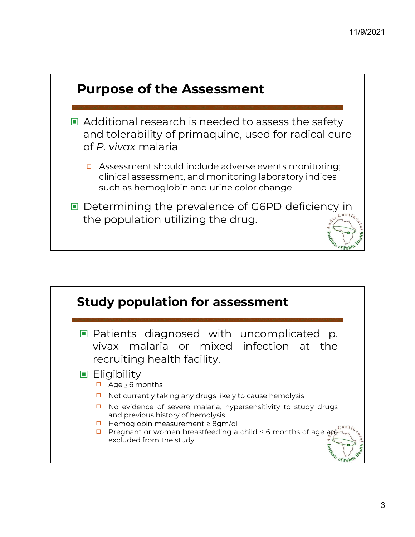

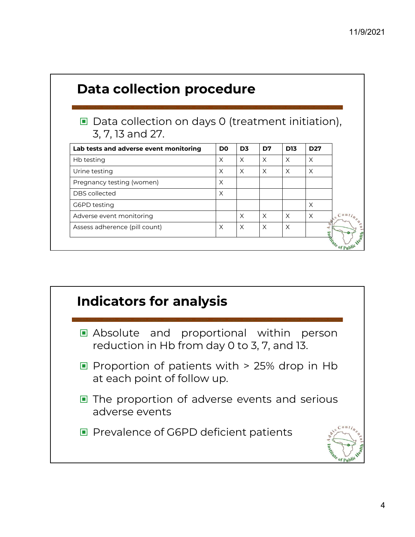| ■ Data collection on days 0 (treatment initiation),                                                     |                |                |          |            |                 |          |
|---------------------------------------------------------------------------------------------------------|----------------|----------------|----------|------------|-----------------|----------|
| 3, 7, 13 and 27.                                                                                        |                |                |          |            |                 |          |
| Lab tests and adverse event monitoring                                                                  | D <sub>0</sub> | D <sub>3</sub> | D7       | <b>D13</b> | D <sub>27</sub> |          |
| Hb testing                                                                                              | X              | X              | X        | X          | $\times$        |          |
|                                                                                                         | X              | $\times$       | $\times$ | $\times$   | $\times$        |          |
|                                                                                                         |                |                |          |            |                 |          |
|                                                                                                         | X              |                |          |            |                 |          |
|                                                                                                         | X              |                |          |            |                 |          |
|                                                                                                         |                |                |          |            | $\times$        |          |
| Urine testing<br>Pregnancy testing (women)<br>DBS collected<br>G6PD testing<br>Adverse event monitoring |                | X              | $\times$ | $\times$   | $\times$        | $C^{on}$ |

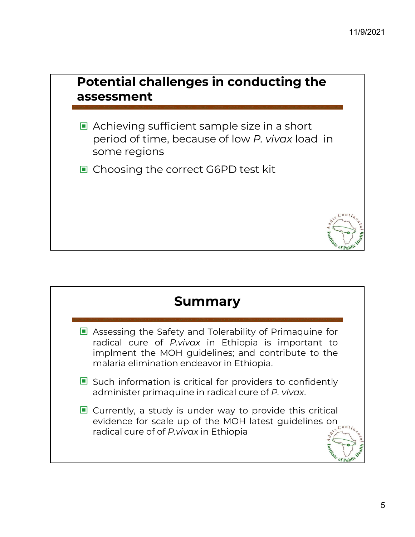### Potential challenges in conducting the assessment

- ▣ Achieving sufficient sample size in a short period of time, because of low P. vivax load in some regions
- ▣ Choosing the correct G6PD test kit

### Summary

- **Summary<br>
Example 19 Assessing the Safety and Tolerability of Primaquine for<br>
Formatical cure of** *P.vivax* **in Ethiopia is important to<br>
implment the MOH guidelines; and contribute to the Summary<br>Assessing the Safety and Tolerability of Primaquine for<br>radical cure of** *P.vivax* **in Ethiopia is important to<br>implment the MOH guidelines; and contribute to the<br>malaria elimination endeavor in Ethiopia. Summary<br>Assessing the Safety and Tolerability of Primaquine for<br>radical cure of** *P.vivox* **in Ethiopia is important to<br>implment the MOH guidelines; and contribute to the<br>malaria elimination endeavor in Ethiopia. Summary<br>
Summary**<br>
Assessing the Safety and Tolerability of Primaquine for<br>
radical cure of *P.vivax* in Ethiopia is important to<br>
implment the MOH guidelines; and contribute to the<br>
malaria elimination endeavor in Ethiop ■ Assessing the Safety and Tolerability of Primaquine for<br>radical cure of *P.vivox* in Ethiopia is important to<br>implment the MOH guidelines; and contribute to the<br>malaria elimination endeavor in Ethiopia.<br>■ Such informati **E** Assessing the Safety and Tolerability of Primaquine for<br>radical cure of *P. vivax* in Ethiopia is important to<br>implment the MOH guidelines; and contribute to the<br>malaria elimination endeavor in Ethiopia.<br>**E** Such info
- 
- radical cure of *P.vivax* in Ethiopia is important to<br>implment the MOH guidelines; and contribute to the<br>malaria elimination endeavor in Ethiopia.<br>Such information is critical for providers to confidently<br>administer prima implment the MOH guidelines; and contribute to<br>malaria elimination endeavor in Ethiopia.<br>Such information is critical for providers to confide<br>administer primaquine in radical cure of *P. vivax*.<br>Currently, a study is und

te of Publi